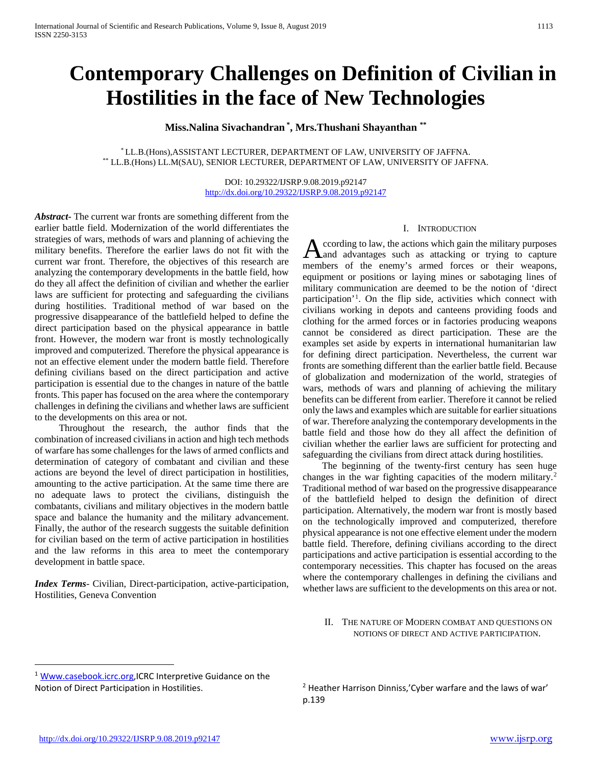# **Contemporary Challenges on Definition of Civilian in Hostilities in the face of New Technologies**

**Miss.Nalina Sivachandran \* , Mrs.Thushani Shayanthan \*\***

\* LL.B.(Hons),ASSISTANT LECTURER, DEPARTMENT OF LAW, UNIVERSITY OF JAFFNA. \*\* LL.B.(Hons) LL.M(SAU), SENIOR LECTURER, DEPARTMENT OF LAW, UNIVERSITY OF JAFFNA.

> DOI: 10.29322/IJSRP.9.08.2019.p92147 <http://dx.doi.org/10.29322/IJSRP.9.08.2019.p92147>

*Abstract***-** The current war fronts are something different from the earlier battle field. Modernization of the world differentiates the strategies of wars, methods of wars and planning of achieving the military benefits. Therefore the earlier laws do not fit with the current war front. Therefore, the objectives of this research are analyzing the contemporary developments in the battle field, how do they all affect the definition of civilian and whether the earlier laws are sufficient for protecting and safeguarding the civilians during hostilities. Traditional method of war based on the progressive disappearance of the battlefield helped to define the direct participation based on the physical appearance in battle front. However, the modern war front is mostly technologically improved and computerized. Therefore the physical appearance is not an effective element under the modern battle field. Therefore defining civilians based on the direct participation and active participation is essential due to the changes in nature of the battle fronts. This paper has focused on the area where the contemporary challenges in defining the civilians and whether laws are sufficient to the developments on this area or not.

 Throughout the research, the author finds that the combination of increased civilians in action and high tech methods of warfare has some challenges for the laws of armed conflicts and determination of category of combatant and civilian and these actions are beyond the level of direct participation in hostilities, amounting to the active participation. At the same time there are no adequate laws to protect the civilians, distinguish the combatants, civilians and military objectives in the modern battle space and balance the humanity and the military advancement. Finally, the author of the research suggests the suitable definition for civilian based on the term of active participation in hostilities and the law reforms in this area to meet the contemporary development in battle space.

*Index Terms*- Civilian, Direct-participation, active-participation, Hostilities, Geneva Convention

#### I. INTRODUCTION

ccording to law, the actions which gain the military purposes According to law, the actions which gain the military purposes<br>and advantages such as attacking or trying to capture members of the enemy's armed forces or their weapons, equipment or positions or laying mines or sabotaging lines of military communication are deemed to be the notion of 'direct participation'[1](#page-0-0) . On the flip side, activities which connect with civilians working in depots and canteens providing foods and clothing for the armed forces or in factories producing weapons cannot be considered as direct participation. These are the examples set aside by experts in international humanitarian law for defining direct participation. Nevertheless, the current war fronts are something different than the earlier battle field. Because of globalization and modernization of the world, strategies of wars, methods of wars and planning of achieving the military benefits can be different from earlier. Therefore it cannot be relied only the laws and examples which are suitable for earlier situations of war. Therefore analyzing the contemporary developments in the battle field and those how do they all affect the definition of civilian whether the earlier laws are sufficient for protecting and safeguarding the civilians from direct attack during hostilities.

 The beginning of the twenty-first century has seen huge changes in the war fighting capacities of the modern military.[2](#page-0-1) Traditional method of war based on the progressive disappearance of the battlefield helped to design the definition of direct participation. Alternatively, the modern war front is mostly based on the technologically improved and computerized, therefore physical appearance is not one effective element under the modern battle field. Therefore, defining civilians according to the direct participations and active participation is essential according to the contemporary necessities. This chapter has focused on the areas where the contemporary challenges in defining the civilians and whether laws are sufficient to the developments on this area or not.

II. THE NATURE OF MODERN COMBAT AND QUESTIONS ON NOTIONS OF DIRECT AND ACTIVE PARTICIPATION.

 $\overline{a}$ 

<span id="page-0-1"></span><span id="page-0-0"></span><sup>&</sup>lt;sup>1</sup> Www.casebook.icrc.org, ICRC Interpretive Guidance on the Notion of Direct Participation in Hostilities.

<sup>&</sup>lt;sup>2</sup> Heather Harrison Dinniss,'Cyber warfare and the laws of war' p.139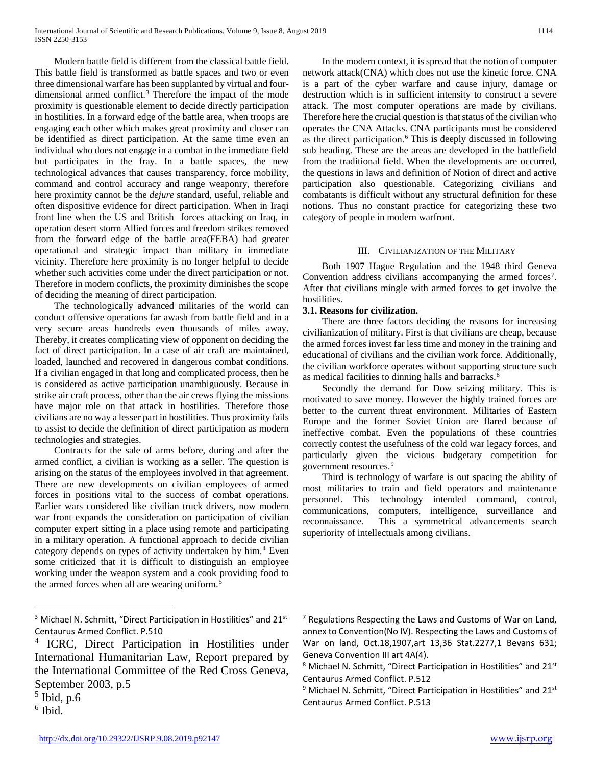Modern battle field is different from the classical battle field. This battle field is transformed as battle spaces and two or even three dimensional warfare has been supplanted by virtual and four-dimensional armed conflict.<sup>[3](#page-1-0)</sup> Therefore the impact of the mode proximity is questionable element to decide directly participation in hostilities. In a forward edge of the battle area, when troops are engaging each other which makes great proximity and closer can be identified as direct participation. At the same time even an individual who does not engage in a combat in the immediate field but participates in the fray. In a battle spaces, the new technological advances that causes transparency, force mobility, command and control accuracy and range weaponry, therefore here proximity cannot be the *dejure* standard, useful, reliable and often dispositive evidence for direct participation. When in Iraqi front line when the US and British forces attacking on Iraq, in operation desert storm Allied forces and freedom strikes removed from the forward edge of the battle area(FEBA) had greater operational and strategic impact than military in immediate vicinity. Therefore here proximity is no longer helpful to decide whether such activities come under the direct participation or not. Therefore in modern conflicts, the proximity diminishes the scope of deciding the meaning of direct participation.

 The technologically advanced militaries of the world can conduct offensive operations far awash from battle field and in a very secure areas hundreds even thousands of miles away. Thereby, it creates complicating view of opponent on deciding the fact of direct participation. In a case of air craft are maintained, loaded, launched and recovered in dangerous combat conditions. If a civilian engaged in that long and complicated process, then he is considered as active participation unambiguously. Because in strike air craft process, other than the air crews flying the missions have major role on that attack in hostilities. Therefore those civilians are no way a lesser part in hostilities. Thus proximity fails to assist to decide the definition of direct participation as modern technologies and strategies.

 Contracts for the sale of arms before, during and after the armed conflict, a civilian is working as a seller. The question is arising on the status of the employees involved in that agreement. There are new developments on civilian employees of armed forces in positions vital to the success of combat operations. Earlier wars considered like civilian truck drivers, now modern war front expands the consideration on participation of civilian computer expert sitting in a place using remote and participating in a military operation. A functional approach to decide civilian category depends on types of activity undertaken by him.<sup>[4](#page-1-1)</sup> Even some criticized that it is difficult to distinguish an employee working under the weapon system and a cook providing food to the armed forces when all are wearing uniform.<sup>[5](#page-1-2)</sup>

<span id="page-1-5"></span><span id="page-1-2"></span> $<sup>5</sup>$  Ibid, p.6</sup>

<span id="page-1-3"></span> $6$  Ibid.

 $\overline{a}$ 

 In the modern context, it is spread that the notion of computer network attack(CNA) which does not use the kinetic force. CNA is a part of the cyber warfare and cause injury, damage or destruction which is in sufficient intensity to construct a severe attack. The most computer operations are made by civilians. Therefore here the crucial question is that status of the civilian who operates the CNA Attacks. CNA participants must be considered as the direct participation.[6](#page-1-3) This is deeply discussed in following sub heading. These are the areas are developed in the battlefield from the traditional field. When the developments are occurred, the questions in laws and definition of Notion of direct and active participation also questionable. Categorizing civilians and combatants is difficult without any structural definition for these notions. Thus no constant practice for categorizing these two category of people in modern warfront.

#### III. CIVILIANIZATION OF THE MILITARY

 Both 1907 Hague Regulation and the 1948 third Geneva Convention address civilians accompanying the armed forces<sup>[7](#page-1-0)</sup>. After that civilians mingle with armed forces to get involve the hostilities.

#### **3.1. Reasons for civilization.**

 There are three factors deciding the reasons for increasing civilianization of military. First is that civilians are cheap, because the armed forces invest far less time and money in the training and educational of civilians and the civilian work force. Additionally, the civilian workforce operates without supporting structure such as medical facilities to dinning halls and barracks.<sup>[8](#page-1-4)</sup>

 Secondly the demand for Dow seizing military. This is motivated to save money. However the highly trained forces are better to the current threat environment. Militaries of Eastern Europe and the former Soviet Union are flared because of ineffective combat. Even the populations of these countries correctly contest the usefulness of the cold war legacy forces, and particularly given the vicious budgetary competition for government resources.[9](#page-1-5)

 Third is technology of warfare is out spacing the ability of most militaries to train and field operators and maintenance personnel. This technology intended command, control, communications, computers, intelligence, surveillance and reconnaissance. This a symmetrical advancements search superiority of intellectuals among civilians.

<span id="page-1-0"></span> $3$  Michael N. Schmitt, "Direct Participation in Hostilities" and 21 $st$ Centaurus Armed Conflict. P.510

<span id="page-1-4"></span><span id="page-1-1"></span><sup>4</sup> ICRC, Direct Participation in Hostilities under International Humanitarian Law, Report prepared by the International Committee of the Red Cross Geneva, September 2003, p.5

 $<sup>7</sup>$  Regulations Respecting the Laws and Customs of War on Land,</sup> annex to Convention(No IV). Respecting the Laws and Customs of War on land, Oct.18,1907,art 13,36 Stat.2277,1 Bevans 631; Geneva Convention III art 4A(4).

 $8$  Michael N. Schmitt, "Direct Participation in Hostilities" and 21 $st$ Centaurus Armed Conflict. P.512

 $9$  Michael N. Schmitt, "Direct Participation in Hostilities" and 21st Centaurus Armed Conflict. P.513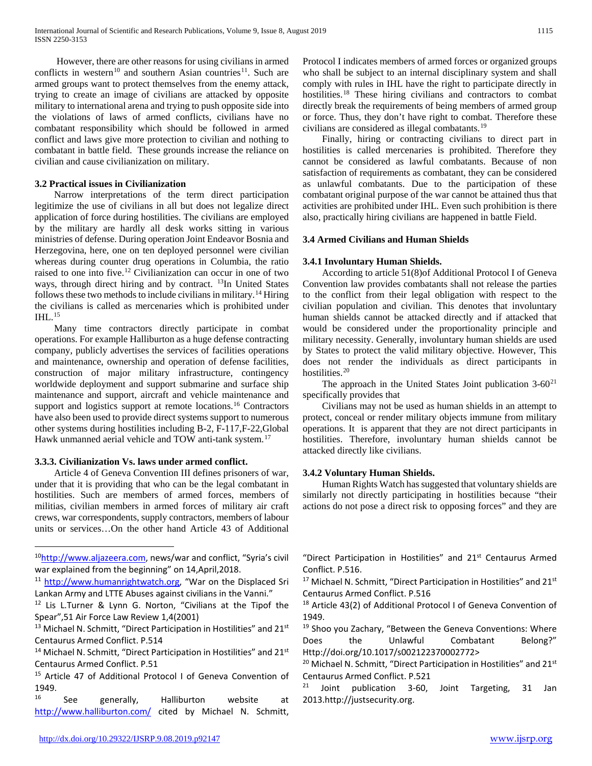However, there are other reasons for using civilians in armed conflicts in western<sup>[10](#page-2-0)</sup> and southern Asian countries<sup>[11](#page-2-1)</sup>. Such are armed groups want to protect themselves from the enemy attack, trying to create an image of civilians are attacked by opposite military to international arena and trying to push opposite side into the violations of laws of armed conflicts, civilians have no combatant responsibility which should be followed in armed conflict and laws give more protection to civilian and nothing to combatant in battle field. These grounds increase the reliance on civilian and cause civilianization on military.

# **3.2 Practical issues in Civilianization**

 Narrow interpretations of the term direct participation legitimize the use of civilians in all but does not legalize direct application of force during hostilities. The civilians are employed by the military are hardly all desk works sitting in various ministries of defense. During operation Joint Endeavor Bosnia and Herzegovina, here, one on ten deployed personnel were civilian whereas during counter drug operations in Columbia, the ratio raised to one into five.[12](#page-2-2) Civilianization can occur in one of two ways, through direct hiring and by contract. <sup>[13](#page-2-3)</sup>In United States follows these two methods to include civilians in military.<sup>[14](#page-2-4)</sup> Hiring the civilians is called as mercenaries which is prohibited under  $IHL$ <sup>[15](#page-2-5)</sup>

 Many time contractors directly participate in combat operations. For example Halliburton as a huge defense contracting company, publicly advertises the services of facilities operations and maintenance, ownership and operation of defense facilities, construction of major military infrastructure, contingency worldwide deployment and support submarine and surface ship maintenance and support, aircraft and vehicle maintenance and support and logistics support at remote locations.<sup>[16](#page-2-6)</sup> Contractors have also been used to provide direct systems support to numerous other systems during hostilities including B-2, F-117,F-22,Global Hawk unmanned aerial vehicle and TOW anti-tank system.<sup>[17](#page-2-1)</sup>

#### **3.3.3. Civilianization Vs. laws under armed conflict.**

 $\overline{a}$ 

 Article 4 of Geneva Convention III defines prisoners of war, under that it is providing that who can be the legal combatant in hostilities. Such are members of armed forces, members of militias, civilian members in armed forces of military air craft crews, war correspondents, supply contractors, members of labour units or services…On the other hand Article 43 of Additional Protocol I indicates members of armed forces or organized groups who shall be subject to an internal disciplinary system and shall comply with rules in IHL have the right to participate directly in hostilities.<sup>[18](#page-2-2)</sup> These hiring civilians and contractors to combat directly break the requirements of being members of armed group or force. Thus, they don't have right to combat. Therefore these civilians are considered as illegal combatants.[19](#page-2-3)

 Finally, hiring or contracting civilians to direct part in hostilities is called mercenaries is prohibited. Therefore they cannot be considered as lawful combatants. Because of non satisfaction of requirements as combatant, they can be considered as unlawful combatants. Due to the participation of these combatant original purpose of the war cannot be attained thus that activities are prohibited under IHL. Even such prohibition is there also, practically hiring civilians are happened in battle Field.

#### **3.4 Armed Civilians and Human Shields**

#### **3.4.1 Involuntary Human Shields.**

 According to article 51(8)of Additional Protocol I of Geneva Convention law provides combatants shall not release the parties to the conflict from their legal obligation with respect to the civilian population and civilian. This denotes that involuntary human shields cannot be attacked directly and if attacked that would be considered under the proportionality principle and military necessity. Generally, involuntary human shields are used by States to protect the valid military objective. However, This does not render the individuals as direct participants in hostilities.<sup>[20](#page-2-7)</sup>

The approach in the United States Joint publication  $3-60^{21}$  $3-60^{21}$  $3-60^{21}$ specifically provides that

 Civilians may not be used as human shields in an attempt to protect, conceal or render military objects immune from military operations. It is apparent that they are not direct participants in hostilities. Therefore, involuntary human shields cannot be attacked directly like civilians.

#### **3.4.2 Voluntary Human Shields.**

 Human Rights Watch has suggested that voluntary shields are similarly not directly participating in hostilities because "their actions do not pose a direct risk to opposing forces" and they are

"Direct Participation in Hostilities" and  $21^{st}$  Centaurus Armed Conflict. P.516.

<sup>17</sup> Michael N. Schmitt, "Direct Participation in Hostilities" and 21<sup>st</sup> Centaurus Armed Conflict. P.516

<sup>18</sup> Article 43(2) of Additional Protocol I of Geneva Convention of 1949.

<sup>19</sup> Shoo you Zachary, "Between the Geneva Conventions: Where Does the Unlawful Combatant Belong?" Http://doi.org/10.1017/s002122370002772>

<sup>20</sup> Michael N. Schmitt, "Direct Participation in Hostilities" and 21<sup>st</sup> Centaurus Armed Conflict. P.521

 $21$  Joint publication 3-60, Joint Targeting, 31 Jan 2013.http://justsecurity.org.

<span id="page-2-0"></span><sup>&</sup>lt;sup>10</sup>http://www.aljazeera.com, news/war and conflict, "Syria's civil war explained from the beginning" on 14,April,2018.

<span id="page-2-1"></span><sup>11</sup> [http://www.humanrightwatch.org,](http://www.humanrightwatch.org/) "War on the Displaced Sri Lankan Army and LTTE Abuses against civilians in the Vanni."

<span id="page-2-2"></span><sup>&</sup>lt;sup>12</sup> Lis L.Turner & Lynn G. Norton, "Civilians at the Tipof the Spear",51 Air Force Law Review 1,4(2001)

<span id="page-2-3"></span><sup>&</sup>lt;sup>13</sup> Michael N. Schmitt, "Direct Participation in Hostilities" and 21<sup>st</sup> Centaurus Armed Conflict. P.514

<span id="page-2-7"></span><span id="page-2-4"></span> $14$  Michael N. Schmitt, "Direct Participation in Hostilities" and 21st Centaurus Armed Conflict. P.51

<span id="page-2-8"></span><span id="page-2-5"></span><sup>&</sup>lt;sup>15</sup> Article 47 of Additional Protocol I of Geneva Convention of 1949.

<span id="page-2-6"></span>See generally, Halliburton website at <http://www.halliburton.com/> cited by Michael N. Schmitt,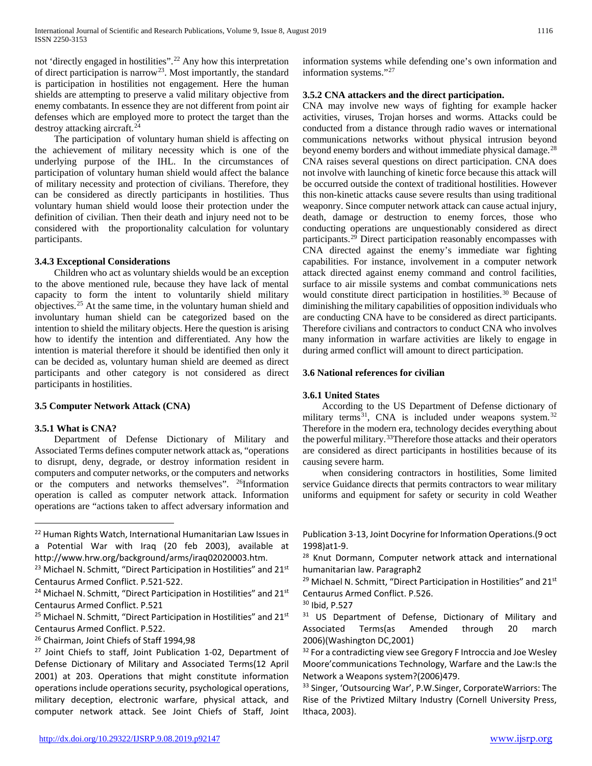not 'directly engaged in hostilities".[22](#page-3-0) Any how this interpretation of direct participation is narrow[23](#page-3-1). Most importantly, the standard is participation in hostilities not engagement. Here the human shields are attempting to preserve a valid military objective from enemy combatants. In essence they are not different from point air defenses which are employed more to protect the target than the destroy attacking aircraft.[24](#page-3-2)

 The participation of voluntary human shield is affecting on the achievement of military necessity which is one of the underlying purpose of the IHL. In the circumstances of participation of voluntary human shield would affect the balance of military necessity and protection of civilians. Therefore, they can be considered as directly participants in hostilities. Thus voluntary human shield would loose their protection under the definition of civilian. Then their death and injury need not to be considered with the proportionality calculation for voluntary participants.

#### **3.4.3 Exceptional Considerations**

 Children who act as voluntary shields would be an exception to the above mentioned rule, because they have lack of mental capacity to form the intent to voluntarily shield military objectives.[25](#page-3-3) At the same time, in the voluntary human shield and involuntary human shield can be categorized based on the intention to shield the military objects. Here the question is arising how to identify the intention and differentiated. Any how the intention is material therefore it should be identified then only it can be decided as, voluntary human shield are deemed as direct participants and other category is not considered as direct participants in hostilities.

# **3.5 Computer Network Attack (CNA)**

# **3.5.1 What is CNA?**

 $\overline{a}$ 

 Department of Defense Dictionary of Military and Associated Terms defines computer network attack as, "operations to disrupt, deny, degrade, or destroy information resident in computers and computer networks, or the computers and networks or the computers and networks themselves". [26](#page-3-4)Information operation is called as computer network attack. Information operations are "actions taken to affect adversary information and

<span id="page-3-4"></span><sup>26</sup> Chairman, Joint Chiefs of Staff 1994,98

information systems while defending one's own information and information systems."[27](#page-3-5)

# **3.5.2 CNA attackers and the direct participation.**

CNA may involve new ways of fighting for example hacker activities, viruses, Trojan horses and worms. Attacks could be conducted from a distance through radio waves or international communications networks without physical intrusion beyond beyond enemy borders and without immediate physical damage.<sup>[28](#page-3-6)</sup> CNA raises several questions on direct participation. CNA does not involve with launching of kinetic force because this attack will be occurred outside the context of traditional hostilities. However this non-kinetic attacks cause severe results than using traditional weaponry. Since computer network attack can cause actual injury, death, damage or destruction to enemy forces, those who conducting operations are unquestionably considered as direct participants.<sup>[29](#page-3-7)</sup> Direct participation reasonably encompasses with CNA directed against the enemy's immediate war fighting capabilities. For instance, involvement in a computer network attack directed against enemy command and control facilities, surface to air missile systems and combat communications nets would constitute direct participation in hostilities.<sup>[30](#page-3-8)</sup> Because of diminishing the military capabilities of opposition individuals who are conducting CNA have to be considered as direct participants. Therefore civilians and contractors to conduct CNA who involves many information in warfare activities are likely to engage in during armed conflict will amount to direct participation.

#### **3.6 National references for civilian**

#### **3.6.1 United States**

 According to the US Department of Defense dictionary of military terms<sup>[31](#page-3-3)</sup>, CNA is included under weapons system.<sup>[32](#page-3-5)</sup> Therefore in the modern era, technology decides everything about the powerful military.<sup>[33](#page-3-9)</sup>Therefore those attacks and their operators are considered as direct participants in hostilities because of its causing severe harm.

 when considering contractors in hostilities, Some limited service Guidance directs that permits contractors to wear military uniforms and equipment for safety or security in cold Weather

Publication 3-13, Joint Docyrine for Information Operations.(9 oct 1998)at1-9.

<sup>28</sup> Knut Dormann, Computer network attack and international humanitarian law. Paragraph2

<sup>29</sup> Michael N. Schmitt, "Direct Participation in Hostilities" and 21<sup>st</sup> Centaurus Armed Conflict. P.526.

<sup>30</sup> Ibid, P.527

<sup>31</sup> US Department of Defense, Dictionary of Military and Associated Terms(as Amended through 20 march 2006)(Washington DC,2001)

 $32$  For a contradicting view see Gregory F Introccia and Joe Wesley Moore'communications Technology, Warfare and the Law:Is the Network a Weapons system?(2006)479.

<sup>33</sup> Singer, 'Outsourcing War', P.W.Singer, CorporateWarriors: The Rise of the Privtized Miltary Industry (Cornell University Press, Ithaca, 2003).

<span id="page-3-0"></span><sup>22</sup> Human Rights Watch, International Humanitarian Law Issues in a Potential War with Iraq (20 feb 2003), available at http://www.hrw.org/background/arms/iraq02020003.htm.

<span id="page-3-7"></span><span id="page-3-6"></span><span id="page-3-1"></span><sup>&</sup>lt;sup>23</sup> Michael N. Schmitt, "Direct Participation in Hostilities" and 21<sup>st</sup> Centaurus Armed Conflict. P.521-522.

<span id="page-3-8"></span><span id="page-3-2"></span><sup>&</sup>lt;sup>24</sup> Michael N. Schmitt, "Direct Participation in Hostilities" and 21<sup>st</sup> Centaurus Armed Conflict. P.521

<span id="page-3-3"></span><sup>&</sup>lt;sup>25</sup> Michael N. Schmitt, "Direct Participation in Hostilities" and 21<sup>st</sup> Centaurus Armed Conflict. P.522.

<span id="page-3-9"></span><span id="page-3-5"></span><sup>&</sup>lt;sup>27</sup> Joint Chiefs to staff, Joint Publication 1-02, Department of Defense Dictionary of Military and Associated Terms(12 April 2001) at 203. Operations that might constitute information operations include operations security, psychological operations, military deception, electronic warfare, physical attack, and computer network attack. See Joint Chiefs of Staff, Joint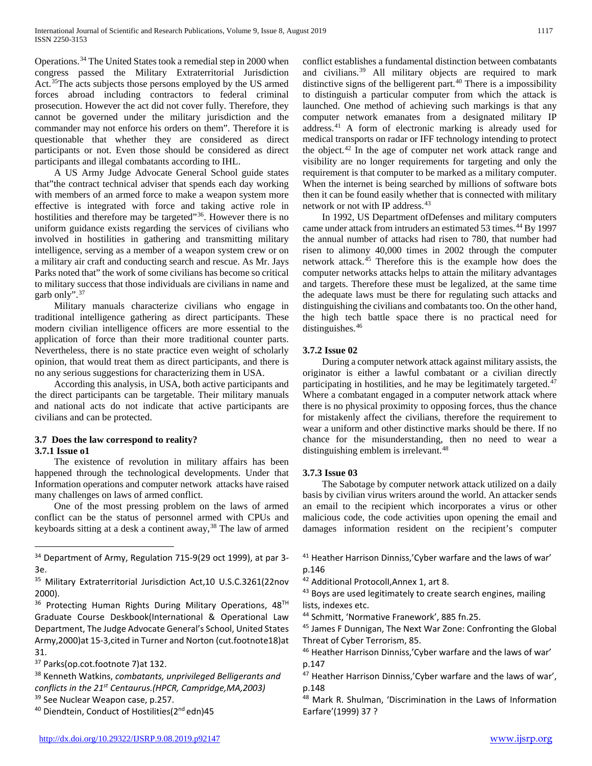Operations.[34](#page-4-0) The United States took a remedial step in 2000 when congress passed the Military Extraterritorial Jurisdiction Act.[35T](#page-4-1)he acts subjects those persons employed by the US armed forces abroad including contractors to federal criminal prosecution. However the act did not cover fully. Therefore, they cannot be governed under the military jurisdiction and the commander may not enforce his orders on them". Therefore it is questionable that whether they are considered as direct participants or not. Even those should be considered as direct participants and illegal combatants according to IHL.

 A US Army Judge Advocate General School guide states that"the contract technical adviser that spends each day working with members of an armed force to make a weapon system more effective is integrated with force and taking active role in hostilities and therefore may be targeted"<sup>36</sup>. However there is no uniform guidance exists regarding the services of civilians who involved in hostilities in gathering and transmitting military intelligence, serving as a member of a weapon system crew or on a military air craft and conducting search and rescue. As Mr. Jays Parks noted that" the work of some civilians has become so critical to military success that those individuals are civilians in name and garb only".[37](#page-4-3)

 Military manuals characterize civilians who engage in traditional intelligence gathering as direct participants. These modern civilian intelligence officers are more essential to the application of force than their more traditional counter parts. Nevertheless, there is no state practice even weight of scholarly opinion, that would treat them as direct participants, and there is no any serious suggestions for characterizing them in USA.

 According this analysis, in USA, both active participants and the direct participants can be targetable. Their military manuals and national acts do not indicate that active participants are civilians and can be protected.

# **3.7 Does the law correspond to reality? 3.7.1 Issue o1**

 The existence of revolution in military affairs has been happened through the technological developments. Under that Information operations and computer network attacks have raised many challenges on laws of armed conflict.

 One of the most pressing problem on the laws of armed conflict can be the status of personnel armed with CPUs and keyboards sitting at a desk a continent away,<sup>[38](#page-4-4)</sup> The law of armed

<span id="page-4-9"></span><span id="page-4-8"></span><span id="page-4-2"></span>36 Protecting Human Rights During Military Operations, 48TH Graduate Course Deskbook(International & Operational Law Department, The Judge Advocate General's School, United States Army,2000)at 15-3,cited in Turner and Norton (cut.footnote18)at 31.

 $\overline{a}$ 

<span id="page-4-4"></span><sup>38</sup> Kenneth Watkins, *combatants, unprivileged Belligerants and conflicts in the 21st Centaurus.(HPCR, Campridge,MA,2003)* <sup>39</sup> See Nuclear Weapon case, p.257.

conflict establishes a fundamental distinction between combatants and civilians.<sup>[39](#page-4-5)</sup> All military objects are required to mark distinctive signs of the belligerent part.<sup>[40](#page-4-6)</sup> There is a impossibility to distinguish a particular computer from which the attack is launched. One method of achieving such markings is that any computer network emanates from a designated military IP address.[41](#page-4-0) A form of electronic marking is already used for medical transports on radar or IFF technology intending to protect the object. $42$  In the age of computer net work attack range and visibility are no longer requirements for targeting and only the requirement is that computer to be marked as a military computer. When the internet is being searched by millions of software bots then it can be found easily whether that is connected with military network or not with IP address.<sup>[43](#page-4-7)</sup>

 In 1992, US Department ofDefenses and military computers came under attack from intruders an estimated 53 times.<sup>[44](#page-4-8)</sup> By 1997 the annual number of attacks had risen to 780, that number had risen to alimony 40,000 times in 2002 through the computer network attack.[45](#page-4-9) Therefore this is the example how does the computer networks attacks helps to attain the military advantages and targets. Therefore these must be legalized, at the same time the adequate laws must be there for regulating such attacks and distinguishing the civilians and combatants too. On the other hand, the high tech battle space there is no practical need for distinguishes.<sup>[46](#page-4-10)</sup>

# **3.7.2 Issue 02**

 During a computer network attack against military assists, the originator is either a lawful combatant or a civilian directly participating in hostilities, and he may be legitimately targeted.<sup>[47](#page-4-4)</sup> Where a combatant engaged in a computer network attack where there is no physical proximity to opposing forces, thus the chance for mistakenly affect the civilians, therefore the requirement to wear a uniform and other distinctive marks should be there. If no chance for the misunderstanding, then no need to wear a distinguishing emblem is irrelevant.<sup>[48](#page-4-5)</sup>

# **3.7.3 Issue 03**

 The Sabotage by computer network attack utilized on a daily basis by civilian virus writers around the world. An attacker sends an email to the recipient which incorporates a virus or other malicious code, the code activities upon opening the email and damages information resident on the recipient's computer

- <sup>41</sup> Heather Harrison Dinniss,'Cyber warfare and the laws of war' p.146
- <sup>42</sup> Additional ProtocolI,Annex 1, art 8.

<sup>43</sup> Boys are used legitimately to create search engines, mailing lists, indexes etc.

<sup>44</sup> Schmitt, 'Normative Franework', 885 fn.25.

<sup>45</sup> James F Dunnigan, The Next War Zone: Confronting the Global Threat of Cyber Terrorism, 85.

<sup>48</sup> Mark R. Shulman, 'Discrimination in the Laws of Information Earfare'(1999) 37 ?

<span id="page-4-0"></span><sup>&</sup>lt;sup>34</sup> Department of Army, Regulation 715-9(29 oct 1999), at par 3-3e.

<span id="page-4-7"></span><span id="page-4-1"></span><sup>35</sup> Military Extraterritorial Jurisdiction Act,10 U.S.C.3261(22nov 2000).

<span id="page-4-10"></span><span id="page-4-3"></span><sup>37</sup> Parks(op.cot.footnote 7)at 132.

<span id="page-4-6"></span><span id="page-4-5"></span><sup>&</sup>lt;sup>40</sup> Diendtein, Conduct of Hostilities(2<sup>nd</sup> edn)45

<sup>46</sup> Heather Harrison Dinniss,'Cyber warfare and the laws of war' p.147

<sup>&</sup>lt;sup>47</sup> Heather Harrison Dinniss,'Cyber warfare and the laws of war', p.148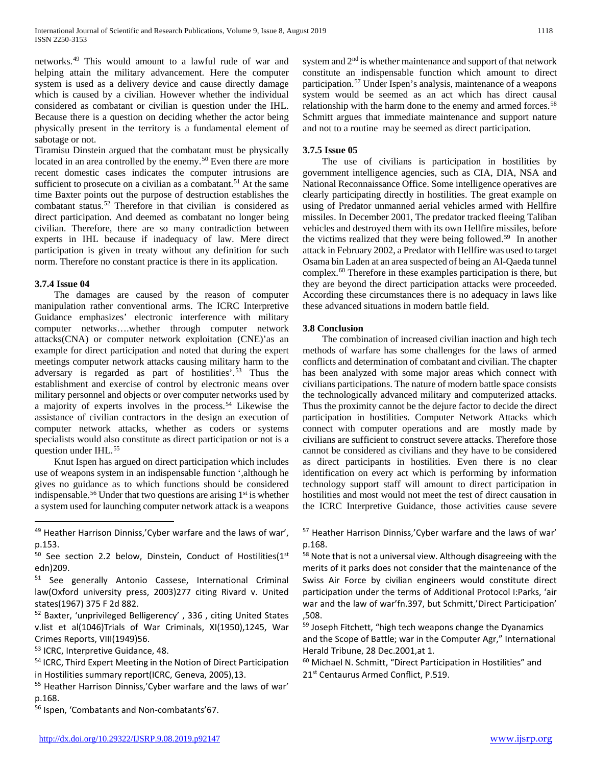networks.[49](#page-5-0) This would amount to a lawful rude of war and helping attain the military advancement. Here the computer system is used as a delivery device and cause directly damage which is caused by a civilian. However whether the individual considered as combatant or civilian is question under the IHL. Because there is a question on deciding whether the actor being physically present in the territory is a fundamental element of sabotage or not.

Tiramisu Dinstein argued that the combatant must be physically located in an area controlled by the enemy.<sup>[50](#page-5-1)</sup> Even there are more recent domestic cases indicates the computer intrusions are sufficient to prosecute on a civilian as a combatant.<sup>[51](#page-5-2)</sup> At the same time Baxter points out the purpose of destruction establishes the combatant status.[52](#page-5-3) Therefore in that civilian is considered as direct participation. And deemed as combatant no longer being civilian. Therefore, there are so many contradiction between experts in IHL because if inadequacy of law. Mere direct participation is given in treaty without any definition for such norm. Therefore no constant practice is there in its application.

#### **3.7.4 Issue 04**

 $\overline{a}$ 

 The damages are caused by the reason of computer manipulation rather conventional arms. The ICRC Interpretive Guidance emphasizes' electronic interference with military computer networks….whether through computer network attacks(CNA) or computer network exploitation (CNE)'as an example for direct participation and noted that during the expert meetings computer network attacks causing military harm to the adversary is regarded as part of hostilities'.[53](#page-5-4) Thus the establishment and exercise of control by electronic means over military personnel and objects or over computer networks used by a majority of experts involves in the process.[54](#page-5-5) Likewise the assistance of civilian contractors in the design an execution of computer network attacks, whether as coders or systems specialists would also constitute as direct participation or not is a question under IHL.<sup>[55](#page-5-6)</sup>

 Knut Ispen has argued on direct participation which includes use of weapons system in an indispensable function ',although he gives no guidance as to which functions should be considered indispensable.<sup>[56](#page-5-7)</sup> Under that two questions are arising  $1<sup>st</sup>$  is whether a system used for launching computer network attack is a weapons

<span id="page-5-8"></span><span id="page-5-3"></span><sup>52</sup> Baxter, 'unprivileged Belligerency' , 336 , citing United States v.list et al(1046)Trials of War Criminals, XI(1950),1245, War Crimes Reports, VIII(1949)56.

<span id="page-5-4"></span><sup>53</sup> ICRC, Interpretive Guidance, 48.

system and  $2<sup>nd</sup>$  is whether maintenance and support of that network constitute an indispensable function which amount to direct participation.[57](#page-5-0) Under Ispen's analysis, maintenance of a weapons system would be seemed as an act which has direct causal relationship with the harm done to the enemy and armed forces.<sup>[58](#page-5-1)</sup> Schmitt argues that immediate maintenance and support nature and not to a routine may be seemed as direct participation.

# **3.7.5 Issue 05**

 The use of civilians is participation in hostilities by government intelligence agencies, such as CIA, DIA, NSA and National Reconnaissance Office. Some intelligence operatives are clearly participating directly in hostilities. The great example on using of Predator unmanned aerial vehicles armed with Hellfire missiles. In December 2001, The predator tracked fleeing Taliban vehicles and destroyed them with its own Hellfire missiles, before the victims realized that they were being followed.<sup>59</sup> In another attack in February 2002, a Predator with Hellfire was used to target Osama bin Laden at an area suspected of being an Al-Qaeda tunnel complex.[60](#page-5-5) Therefore in these examples participation is there, but they are beyond the direct participation attacks were proceeded. According these circumstances there is no adequacy in laws like these advanced situations in modern battle field.

#### **3.8 Conclusion**

 The combination of increased civilian inaction and high tech methods of warfare has some challenges for the laws of armed conflicts and determination of combatant and civilian. The chapter has been analyzed with some major areas which connect with civilians participations. The nature of modern battle space consists the technologically advanced military and computerized attacks. Thus the proximity cannot be the dejure factor to decide the direct participation in hostilities. Computer Network Attacks which connect with computer operations and are mostly made by civilians are sufficient to construct severe attacks. Therefore those cannot be considered as civilians and they have to be considered as direct participants in hostilities. Even there is no clear identification on every act which is performing by information technology support staff will amount to direct participation in hostilities and most would not meet the test of direct causation in the ICRC Interpretive Guidance, those activities cause severe

<sup>57</sup> Heather Harrison Dinniss,'Cyber warfare and the laws of war' p.168.

<sup>58</sup> Note that is not a universal view. Although disagreeing with the merits of it parks does not consider that the maintenance of the Swiss Air Force by civilian engineers would constitute direct participation under the terms of Additional Protocol I:Parks, 'air war and the law of war'fn.397, but Schmitt,'Direct Participation' ,508.

59 Joseph Fitchett, "high tech weapons change the Dyanamics and the Scope of Battle; war in the Computer Agr," International Herald Tribune, 28 Dec.2001,at 1.

<sup>60</sup> Michael N. Schmitt, "Direct Participation in Hostilities" and 21<sup>st</sup> Centaurus Armed Conflict, P.519.

<span id="page-5-0"></span><sup>49</sup> Heather Harrison Dinniss,'Cyber warfare and the laws of war', p.153.

<span id="page-5-1"></span> $50$  See section 2.2 below, Dinstein, Conduct of Hostilities( $1<sup>st</sup>$ edn)209.

<span id="page-5-2"></span><sup>51</sup> See generally Antonio Cassese, International Criminal law(Oxford university press, 2003)277 citing Rivard v. United states(1967) 375 F 2d 882.

<span id="page-5-5"></span><sup>54</sup> ICRC, Third Expert Meeting in the Notion of Direct Participation in Hostilities summary report(ICRC, Geneva, 2005),13.

<span id="page-5-6"></span><sup>55</sup> Heather Harrison Dinniss,'Cyber warfare and the laws of war' p.168.

<span id="page-5-7"></span><sup>&</sup>lt;sup>56</sup> Ispen, 'Combatants and Non-combatants'67.